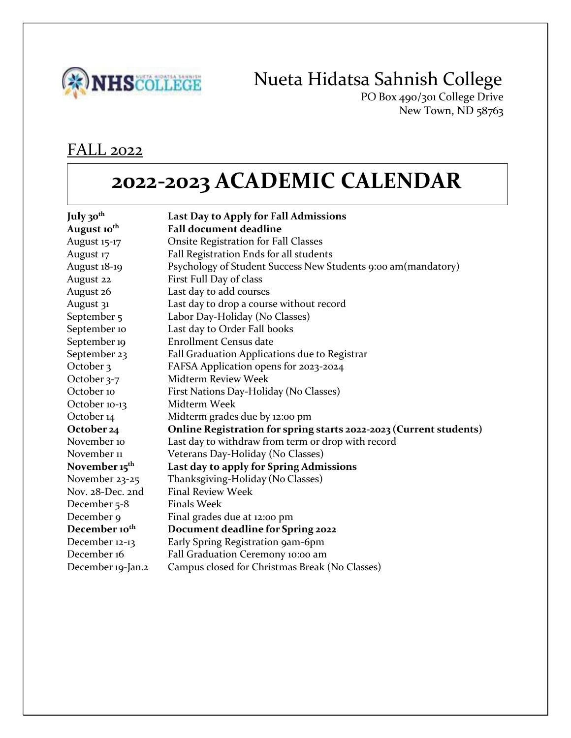

## Nueta Hidatsa Sahnish College

PO Box 490/301 College Drive New Town, ND 58763

#### FALL 2022

# **2022-2023 ACADEMIC CALENDAR**

| July 30 <sup>th</sup>     | Last Day to Apply for Fall Admissions                              |
|---------------------------|--------------------------------------------------------------------|
| August 10 <sup>th</sup>   | <b>Fall document deadline</b>                                      |
| August 15-17              | <b>Onsite Registration for Fall Classes</b>                        |
| August 17                 | Fall Registration Ends for all students                            |
| August 18-19              | Psychology of Student Success New Students 9:00 am (mandatory)     |
| August 22                 | First Full Day of class                                            |
| August 26                 | Last day to add courses                                            |
| August 31                 | Last day to drop a course without record                           |
| September 5               | Labor Day-Holiday (No Classes)                                     |
| September 10              | Last day to Order Fall books                                       |
| September 19              | <b>Enrollment Census date</b>                                      |
| September 23              | Fall Graduation Applications due to Registrar                      |
| October 3                 | FAFSA Application opens for 2023-2024                              |
| October 3-7               | <b>Midterm Review Week</b>                                         |
| October 10                | First Nations Day-Holiday (No Classes)                             |
| October 10-13             | Midterm Week                                                       |
| October 14                | Midterm grades due by 12:00 pm                                     |
| October 24                | Online Registration for spring starts 2022-2023 (Current students) |
| November 10               | Last day to withdraw from term or drop with record                 |
| November 11               | Veterans Day-Holiday (No Classes)                                  |
| November 15 <sup>th</sup> | Last day to apply for Spring Admissions                            |
| November 23-25            | Thanksgiving-Holiday (No Classes)                                  |
| Nov. 28-Dec. 2nd          | <b>Final Review Week</b>                                           |
| December 5-8              | <b>Finals Week</b>                                                 |
| December 9                | Final grades due at 12:00 pm                                       |
| December 10 <sup>th</sup> | Document deadline for Spring 2022                                  |
| December 12-13            | Early Spring Registration 9am-6pm                                  |
| December 16               | Fall Graduation Ceremony 10:00 am                                  |
| December 19-Jan.2         | Campus closed for Christmas Break (No Classes)                     |